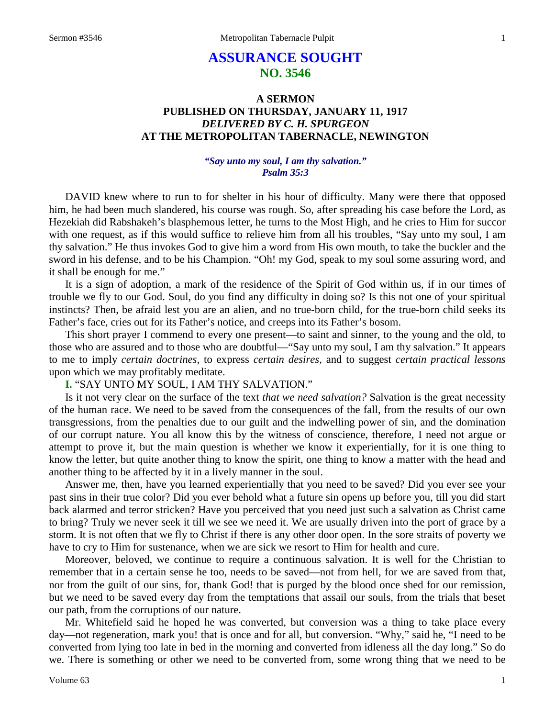# **ASSURANCE SOUGHT NO. 3546**

# **A SERMON PUBLISHED ON THURSDAY, JANUARY 11, 1917** *DELIVERED BY C. H. SPURGEON* **AT THE METROPOLITAN TABERNACLE, NEWINGTON**

## *"Say unto my soul, I am thy salvation." Psalm 35:3*

DAVID knew where to run to for shelter in his hour of difficulty. Many were there that opposed him, he had been much slandered, his course was rough. So, after spreading his case before the Lord, as Hezekiah did Rabshakeh's blasphemous letter, he turns to the Most High, and he cries to Him for succor with one request, as if this would suffice to relieve him from all his troubles, "Say unto my soul, I am thy salvation." He thus invokes God to give him a word from His own mouth, to take the buckler and the sword in his defense, and to be his Champion. "Oh! my God, speak to my soul some assuring word, and it shall be enough for me."

It is a sign of adoption, a mark of the residence of the Spirit of God within us, if in our times of trouble we fly to our God. Soul, do you find any difficulty in doing so? Is this not one of your spiritual instincts? Then, be afraid lest you are an alien, and no true-born child, for the true-born child seeks its Father's face, cries out for its Father's notice, and creeps into its Father's bosom.

This short prayer I commend to every one present—to saint and sinner, to the young and the old, to those who are assured and to those who are doubtful—"Say unto my soul, I am thy salvation." It appears to me to imply *certain doctrines,* to express *certain desires,* and to suggest *certain practical lessons* upon which we may profitably meditate.

## **I.** "SAY UNTO MY SOUL, I AM THY SALVATION."

Is it not very clear on the surface of the text *that we need salvation?* Salvation is the great necessity of the human race. We need to be saved from the consequences of the fall, from the results of our own transgressions, from the penalties due to our guilt and the indwelling power of sin, and the domination of our corrupt nature. You all know this by the witness of conscience, therefore, I need not argue or attempt to prove it, but the main question is whether we know it experientially, for it is one thing to know the letter, but quite another thing to know the spirit, one thing to know a matter with the head and another thing to be affected by it in a lively manner in the soul.

Answer me, then, have you learned experientially that you need to be saved? Did you ever see your past sins in their true color? Did you ever behold what a future sin opens up before you, till you did start back alarmed and terror stricken? Have you perceived that you need just such a salvation as Christ came to bring? Truly we never seek it till we see we need it. We are usually driven into the port of grace by a storm. It is not often that we fly to Christ if there is any other door open. In the sore straits of poverty we have to cry to Him for sustenance, when we are sick we resort to Him for health and cure.

Moreover, beloved, we continue to require a continuous salvation. It is well for the Christian to remember that in a certain sense he too, needs to be saved—not from hell, for we are saved from that, nor from the guilt of our sins, for, thank God! that is purged by the blood once shed for our remission, but we need to be saved every day from the temptations that assail our souls, from the trials that beset our path, from the corruptions of our nature.

Mr. Whitefield said he hoped he was converted, but conversion was a thing to take place every day—not regeneration, mark you! that is once and for all, but conversion. "Why," said he, "I need to be converted from lying too late in bed in the morning and converted from idleness all the day long." So do we. There is something or other we need to be converted from, some wrong thing that we need to be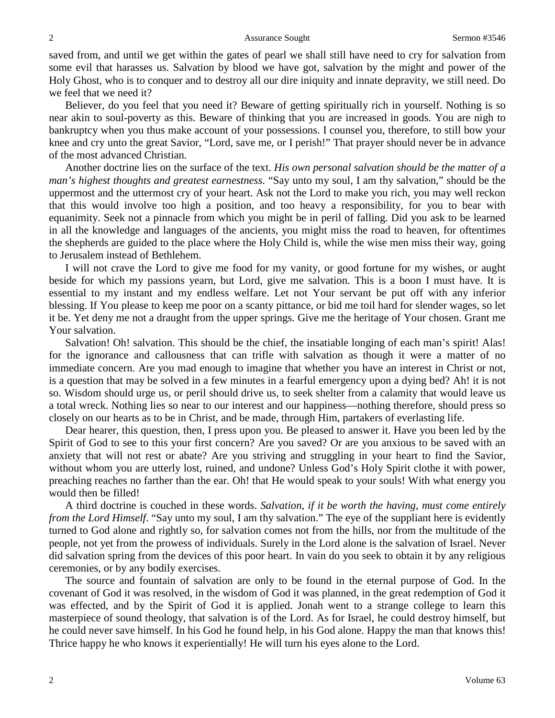saved from, and until we get within the gates of pearl we shall still have need to cry for salvation from some evil that harasses us. Salvation by blood we have got, salvation by the might and power of the Holy Ghost, who is to conquer and to destroy all our dire iniquity and innate depravity, we still need. Do we feel that we need it?

Believer, do you feel that you need it? Beware of getting spiritually rich in yourself. Nothing is so near akin to soul-poverty as this. Beware of thinking that you are increased in goods. You are nigh to bankruptcy when you thus make account of your possessions. I counsel you, therefore, to still bow your knee and cry unto the great Savior, "Lord, save me, or I perish!" That prayer should never be in advance of the most advanced Christian.

Another doctrine lies on the surface of the text. *His own personal salvation should be the matter of a man's highest thoughts and greatest earnestness*. "Say unto my soul, I am thy salvation," should be the uppermost and the uttermost cry of your heart. Ask not the Lord to make you rich, you may well reckon that this would involve too high a position, and too heavy a responsibility, for you to bear with equanimity. Seek not a pinnacle from which you might be in peril of falling. Did you ask to be learned in all the knowledge and languages of the ancients, you might miss the road to heaven, for oftentimes the shepherds are guided to the place where the Holy Child is, while the wise men miss their way, going to Jerusalem instead of Bethlehem.

I will not crave the Lord to give me food for my vanity, or good fortune for my wishes, or aught beside for which my passions yearn, but Lord, give me salvation. This is a boon I must have. It is essential to my instant and my endless welfare. Let not Your servant be put off with any inferior blessing. If You please to keep me poor on a scanty pittance, or bid me toil hard for slender wages, so let it be. Yet deny me not a draught from the upper springs. Give me the heritage of Your chosen. Grant me Your salvation.

Salvation! Oh! salvation. This should be the chief, the insatiable longing of each man's spirit! Alas! for the ignorance and callousness that can trifle with salvation as though it were a matter of no immediate concern. Are you mad enough to imagine that whether you have an interest in Christ or not, is a question that may be solved in a few minutes in a fearful emergency upon a dying bed? Ah! it is not so. Wisdom should urge us, or peril should drive us, to seek shelter from a calamity that would leave us a total wreck. Nothing lies so near to our interest and our happiness—nothing therefore, should press so closely on our hearts as to be in Christ, and be made, through Him, partakers of everlasting life.

Dear hearer, this question, then, I press upon you. Be pleased to answer it. Have you been led by the Spirit of God to see to this your first concern? Are you saved? Or are you anxious to be saved with an anxiety that will not rest or abate? Are you striving and struggling in your heart to find the Savior, without whom you are utterly lost, ruined, and undone? Unless God's Holy Spirit clothe it with power, preaching reaches no farther than the ear. Oh! that He would speak to your souls! With what energy you would then be filled!

A third doctrine is couched in these words. *Salvation, if it be worth the having, must come entirely from the Lord Himself*. "Say unto my soul, I am thy salvation." The eye of the suppliant here is evidently turned to God alone and rightly so, for salvation comes not from the hills, nor from the multitude of the people, not yet from the prowess of individuals. Surely in the Lord alone is the salvation of Israel. Never did salvation spring from the devices of this poor heart. In vain do you seek to obtain it by any religious ceremonies, or by any bodily exercises.

The source and fountain of salvation are only to be found in the eternal purpose of God. In the covenant of God it was resolved, in the wisdom of God it was planned, in the great redemption of God it was effected, and by the Spirit of God it is applied. Jonah went to a strange college to learn this masterpiece of sound theology, that salvation is of the Lord. As for Israel, he could destroy himself, but he could never save himself. In his God he found help, in his God alone. Happy the man that knows this! Thrice happy he who knows it experientially! He will turn his eyes alone to the Lord.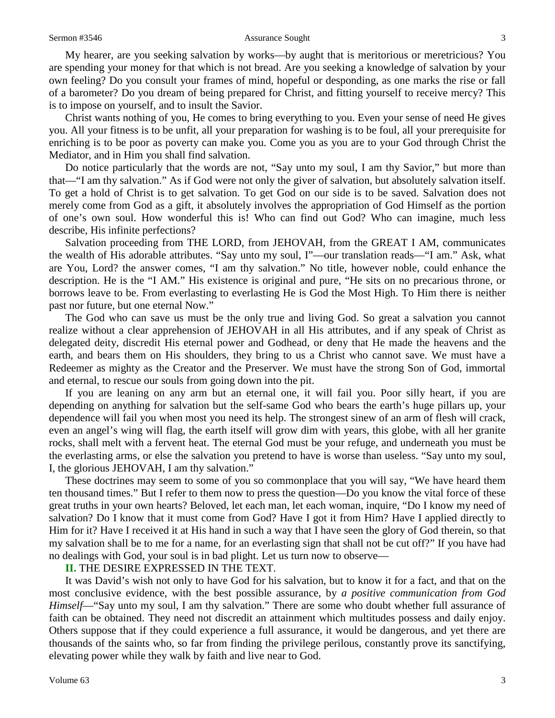My hearer, are you seeking salvation by works—by aught that is meritorious or meretricious? You are spending your money for that which is not bread. Are you seeking a knowledge of salvation by your own feeling? Do you consult your frames of mind, hopeful or desponding, as one marks the rise or fall of a barometer? Do you dream of being prepared for Christ, and fitting yourself to receive mercy? This is to impose on yourself, and to insult the Savior.

Christ wants nothing of you, He comes to bring everything to you. Even your sense of need He gives you. All your fitness is to be unfit, all your preparation for washing is to be foul, all your prerequisite for enriching is to be poor as poverty can make you. Come you as you are to your God through Christ the Mediator, and in Him you shall find salvation.

Do notice particularly that the words are not, "Say unto my soul, I am thy Savior," but more than that—"I am thy salvation." As if God were not only the giver of salvation, but absolutely salvation itself. To get a hold of Christ is to get salvation. To get God on our side is to be saved. Salvation does not merely come from God as a gift, it absolutely involves the appropriation of God Himself as the portion of one's own soul. How wonderful this is! Who can find out God? Who can imagine, much less describe, His infinite perfections?

Salvation proceeding from THE LORD, from JEHOVAH, from the GREAT I AM, communicates the wealth of His adorable attributes. "Say unto my soul, I"—our translation reads—"I am." Ask, what are You, Lord? the answer comes, "I am thy salvation." No title, however noble, could enhance the description. He is the "I AM." His existence is original and pure, "He sits on no precarious throne, or borrows leave to be. From everlasting to everlasting He is God the Most High. To Him there is neither past nor future, but one eternal Now."

The God who can save us must be the only true and living God. So great a salvation you cannot realize without a clear apprehension of JEHOVAH in all His attributes, and if any speak of Christ as delegated deity, discredit His eternal power and Godhead, or deny that He made the heavens and the earth, and bears them on His shoulders, they bring to us a Christ who cannot save. We must have a Redeemer as mighty as the Creator and the Preserver. We must have the strong Son of God, immortal and eternal, to rescue our souls from going down into the pit.

If you are leaning on any arm but an eternal one, it will fail you. Poor silly heart, if you are depending on anything for salvation but the self-same God who bears the earth's huge pillars up, your dependence will fail you when most you need its help. The strongest sinew of an arm of flesh will crack, even an angel's wing will flag, the earth itself will grow dim with years, this globe, with all her granite rocks, shall melt with a fervent heat. The eternal God must be your refuge, and underneath you must be the everlasting arms, or else the salvation you pretend to have is worse than useless. "Say unto my soul, I, the glorious JEHOVAH, I am thy salvation."

These doctrines may seem to some of you so commonplace that you will say, "We have heard them ten thousand times." But I refer to them now to press the question—Do you know the vital force of these great truths in your own hearts? Beloved, let each man, let each woman, inquire, "Do I know my need of salvation? Do I know that it must come from God? Have I got it from Him? Have I applied directly to Him for it? Have I received it at His hand in such a way that I have seen the glory of God therein, so that my salvation shall be to me for a name, for an everlasting sign that shall not be cut off?" If you have had no dealings with God, your soul is in bad plight. Let us turn now to observe—

### **II.** THE DESIRE EXPRESSED IN THE TEXT.

It was David's wish not only to have God for his salvation, but to know it for a fact, and that on the most conclusive evidence, with the best possible assurance, by *a positive communication from God Himself*—"Say unto my soul, I am thy salvation." There are some who doubt whether full assurance of faith can be obtained. They need not discredit an attainment which multitudes possess and daily enjoy. Others suppose that if they could experience a full assurance, it would be dangerous, and yet there are thousands of the saints who, so far from finding the privilege perilous, constantly prove its sanctifying, elevating power while they walk by faith and live near to God.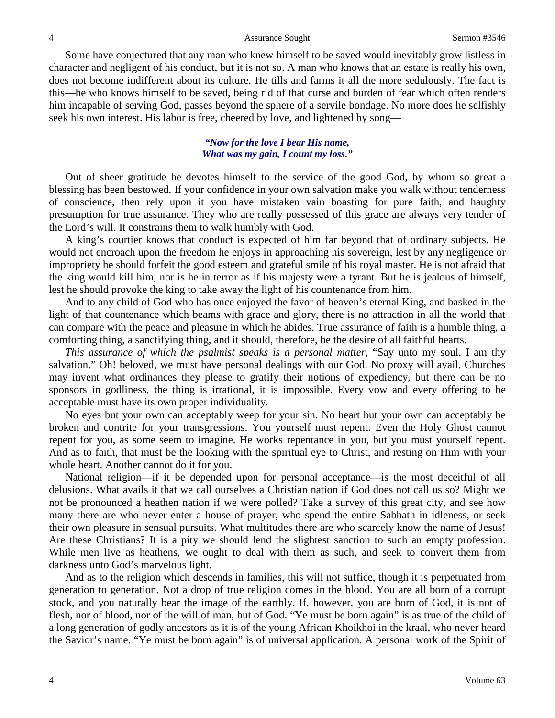Some have conjectured that any man who knew himself to be saved would inevitably grow listless in character and negligent of his conduct, but it is not so. A man who knows that an estate is really his own, does not become indifferent about its culture. He tills and farms it all the more sedulously. The fact is this—he who knows himself to be saved, being rid of that curse and burden of fear which often renders him incapable of serving God, passes beyond the sphere of a servile bondage. No more does he selfishly seek his own interest. His labor is free, cheered by love, and lightened by song—

### *"Now for the love I bear His name, What was my gain, I count my loss."*

Out of sheer gratitude he devotes himself to the service of the good God, by whom so great a blessing has been bestowed. If your confidence in your own salvation make you walk without tenderness of conscience, then rely upon it you have mistaken vain boasting for pure faith, and haughty presumption for true assurance. They who are really possessed of this grace are always very tender of the Lord's will. It constrains them to walk humbly with God.

A king's courtier knows that conduct is expected of him far beyond that of ordinary subjects. He would not encroach upon the freedom he enjoys in approaching his sovereign, lest by any negligence or impropriety he should forfeit the good esteem and grateful smile of his royal master. He is not afraid that the king would kill him, nor is he in terror as if his majesty were a tyrant. But he is jealous of himself, lest he should provoke the king to take away the light of his countenance from him.

And to any child of God who has once enjoyed the favor of heaven's eternal King, and basked in the light of that countenance which beams with grace and glory, there is no attraction in all the world that can compare with the peace and pleasure in which he abides. True assurance of faith is a humble thing, a comforting thing, a sanctifying thing, and it should, therefore, be the desire of all faithful hearts.

*This assurance of which the psalmist speaks is a personal matter,* "Say unto my soul, I am thy salvation." Oh! beloved, we must have personal dealings with our God. No proxy will avail. Churches may invent what ordinances they please to gratify their notions of expediency, but there can be no sponsors in godliness, the thing is irrational, it is impossible. Every vow and every offering to be acceptable must have its own proper individuality.

No eyes but your own can acceptably weep for your sin. No heart but your own can acceptably be broken and contrite for your transgressions. You yourself must repent. Even the Holy Ghost cannot repent for you, as some seem to imagine. He works repentance in you, but you must yourself repent. And as to faith, that must be the looking with the spiritual eye to Christ, and resting on Him with your whole heart. Another cannot do it for you.

National religion—if it be depended upon for personal acceptance—is the most deceitful of all delusions. What avails it that we call ourselves a Christian nation if God does not call us so? Might we not be pronounced a heathen nation if we were polled? Take a survey of this great city, and see how many there are who never enter a house of prayer, who spend the entire Sabbath in idleness, or seek their own pleasure in sensual pursuits. What multitudes there are who scarcely know the name of Jesus! Are these Christians? It is a pity we should lend the slightest sanction to such an empty profession. While men live as heathens, we ought to deal with them as such, and seek to convert them from darkness unto God's marvelous light.

And as to the religion which descends in families, this will not suffice, though it is perpetuated from generation to generation. Not a drop of true religion comes in the blood. You are all born of a corrupt stock, and you naturally bear the image of the earthly. If, however, you are born of God, it is not of flesh, nor of blood, nor of the will of man, but of God. "Ye must be born again" is as true of the child of a long generation of godly ancestors as it is of the young African Khoikhoi in the kraal, who never heard the Savior's name. "Ye must be born again" is of universal application. A personal work of the Spirit of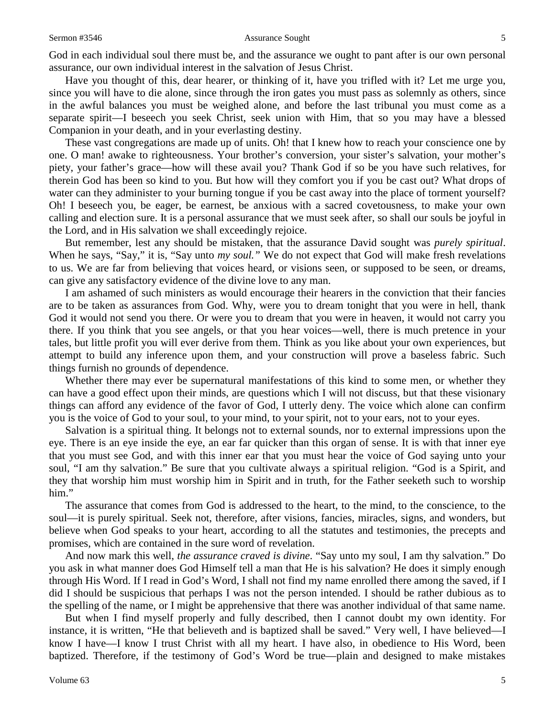#### Sermon #3546 **Assurance Sought** 5

God in each individual soul there must be, and the assurance we ought to pant after is our own personal assurance, our own individual interest in the salvation of Jesus Christ.

Have you thought of this, dear hearer, or thinking of it, have you trifled with it? Let me urge you, since you will have to die alone, since through the iron gates you must pass as solemnly as others, since in the awful balances you must be weighed alone, and before the last tribunal you must come as a separate spirit—I beseech you seek Christ, seek union with Him, that so you may have a blessed Companion in your death, and in your everlasting destiny.

These vast congregations are made up of units. Oh! that I knew how to reach your conscience one by one. O man! awake to righteousness. Your brother's conversion, your sister's salvation, your mother's piety, your father's grace—how will these avail you? Thank God if so be you have such relatives, for therein God has been so kind to you. But how will they comfort you if you be cast out? What drops of water can they administer to your burning tongue if you be cast away into the place of torment yourself? Oh! I beseech you, be eager, be earnest, be anxious with a sacred covetousness, to make your own calling and election sure. It is a personal assurance that we must seek after, so shall our souls be joyful in the Lord, and in His salvation we shall exceedingly rejoice.

But remember, lest any should be mistaken, that the assurance David sought was *purely spiritual*. When he says, "Say," it is, "Say unto *my soul."* We do not expect that God will make fresh revelations to us. We are far from believing that voices heard, or visions seen, or supposed to be seen, or dreams, can give any satisfactory evidence of the divine love to any man.

I am ashamed of such ministers as would encourage their hearers in the conviction that their fancies are to be taken as assurances from God. Why, were you to dream tonight that you were in hell, thank God it would not send you there. Or were you to dream that you were in heaven, it would not carry you there. If you think that you see angels, or that you hear voices—well, there is much pretence in your tales, but little profit you will ever derive from them. Think as you like about your own experiences, but attempt to build any inference upon them, and your construction will prove a baseless fabric. Such things furnish no grounds of dependence.

Whether there may ever be supernatural manifestations of this kind to some men, or whether they can have a good effect upon their minds, are questions which I will not discuss, but that these visionary things can afford any evidence of the favor of God, I utterly deny. The voice which alone can confirm you is the voice of God to your soul, to your mind, to your spirit, not to your ears, not to your eyes.

Salvation is a spiritual thing. It belongs not to external sounds, nor to external impressions upon the eye. There is an eye inside the eye, an ear far quicker than this organ of sense. It is with that inner eye that you must see God, and with this inner ear that you must hear the voice of God saying unto your soul, "I am thy salvation." Be sure that you cultivate always a spiritual religion. "God is a Spirit, and they that worship him must worship him in Spirit and in truth, for the Father seeketh such to worship him."

The assurance that comes from God is addressed to the heart, to the mind, to the conscience, to the soul—it is purely spiritual. Seek not, therefore, after visions, fancies, miracles, signs, and wonders, but believe when God speaks to your heart, according to all the statutes and testimonies, the precepts and promises, which are contained in the sure word of revelation.

And now mark this well, *the assurance craved is divine*. "Say unto my soul, I am thy salvation." Do you ask in what manner does God Himself tell a man that He is his salvation? He does it simply enough through His Word. If I read in God's Word, I shall not find my name enrolled there among the saved, if I did I should be suspicious that perhaps I was not the person intended. I should be rather dubious as to the spelling of the name, or I might be apprehensive that there was another individual of that same name.

But when I find myself properly and fully described, then I cannot doubt my own identity. For instance, it is written, "He that believeth and is baptized shall be saved." Very well, I have believed—I know I have—I know I trust Christ with all my heart. I have also, in obedience to His Word, been baptized. Therefore, if the testimony of God's Word be true—plain and designed to make mistakes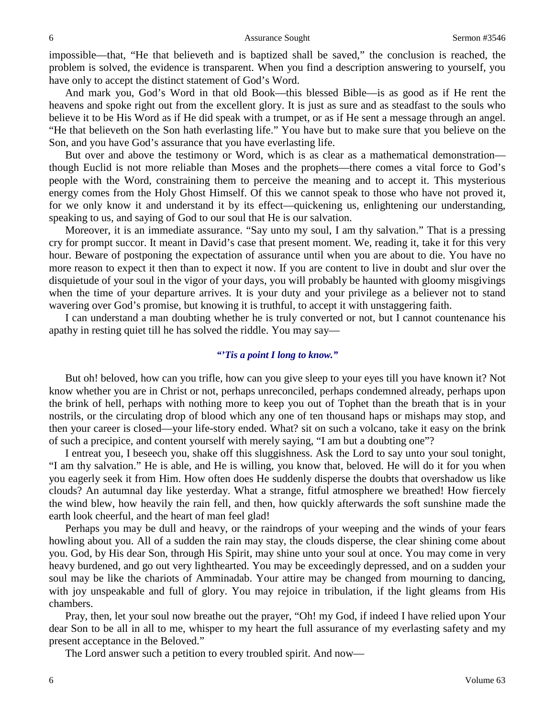impossible—that, "He that believeth and is baptized shall be saved," the conclusion is reached, the problem is solved, the evidence is transparent. When you find a description answering to yourself, you have only to accept the distinct statement of God's Word.

And mark you, God's Word in that old Book—this blessed Bible—is as good as if He rent the heavens and spoke right out from the excellent glory. It is just as sure and as steadfast to the souls who believe it to be His Word as if He did speak with a trumpet, or as if He sent a message through an angel. "He that believeth on the Son hath everlasting life." You have but to make sure that you believe on the Son, and you have God's assurance that you have everlasting life.

But over and above the testimony or Word, which is as clear as a mathematical demonstration though Euclid is not more reliable than Moses and the prophets—there comes a vital force to God's people with the Word, constraining them to perceive the meaning and to accept it. This mysterious energy comes from the Holy Ghost Himself. Of this we cannot speak to those who have not proved it, for we only know it and understand it by its effect—quickening us, enlightening our understanding, speaking to us, and saying of God to our soul that He is our salvation.

Moreover, it is an immediate assurance. "Say unto my soul, I am thy salvation." That is a pressing cry for prompt succor. It meant in David's case that present moment. We, reading it, take it for this very hour. Beware of postponing the expectation of assurance until when you are about to die. You have no more reason to expect it then than to expect it now. If you are content to live in doubt and slur over the disquietude of your soul in the vigor of your days, you will probably be haunted with gloomy misgivings when the time of your departure arrives. It is your duty and your privilege as a believer not to stand wavering over God's promise, but knowing it is truthful, to accept it with unstaggering faith.

I can understand a man doubting whether he is truly converted or not, but I cannot countenance his apathy in resting quiet till he has solved the riddle. You may say—

### *"'Tis a point I long to know."*

But oh! beloved, how can you trifle, how can you give sleep to your eyes till you have known it? Not know whether you are in Christ or not, perhaps unreconciled, perhaps condemned already, perhaps upon the brink of hell, perhaps with nothing more to keep you out of Tophet than the breath that is in your nostrils, or the circulating drop of blood which any one of ten thousand haps or mishaps may stop, and then your career is closed—your life-story ended. What? sit on such a volcano, take it easy on the brink of such a precipice, and content yourself with merely saying, "I am but a doubting one"?

I entreat you, I beseech you, shake off this sluggishness. Ask the Lord to say unto your soul tonight, "I am thy salvation." He is able, and He is willing, you know that, beloved. He will do it for you when you eagerly seek it from Him. How often does He suddenly disperse the doubts that overshadow us like clouds? An autumnal day like yesterday. What a strange, fitful atmosphere we breathed! How fiercely the wind blew, how heavily the rain fell, and then, how quickly afterwards the soft sunshine made the earth look cheerful, and the heart of man feel glad!

Perhaps you may be dull and heavy, or the raindrops of your weeping and the winds of your fears howling about you. All of a sudden the rain may stay, the clouds disperse, the clear shining come about you. God, by His dear Son, through His Spirit, may shine unto your soul at once. You may come in very heavy burdened, and go out very lighthearted. You may be exceedingly depressed, and on a sudden your soul may be like the chariots of Amminadab. Your attire may be changed from mourning to dancing, with joy unspeakable and full of glory. You may rejoice in tribulation, if the light gleams from His chambers.

Pray, then, let your soul now breathe out the prayer, "Oh! my God, if indeed I have relied upon Your dear Son to be all in all to me, whisper to my heart the full assurance of my everlasting safety and my present acceptance in the Beloved."

The Lord answer such a petition to every troubled spirit. And now—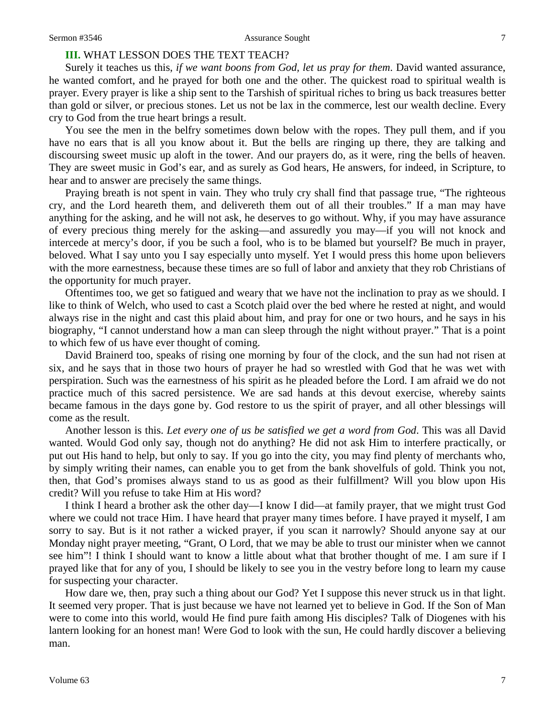#### Sermon #3546 **Assurance Sought** 7

# **III.** WHAT LESSON DOES THE TEXT TEACH?

Surely it teaches us this, *if we want boons from God, let us pray for them*. David wanted assurance, he wanted comfort, and he prayed for both one and the other. The quickest road to spiritual wealth is prayer. Every prayer is like a ship sent to the Tarshish of spiritual riches to bring us back treasures better than gold or silver, or precious stones. Let us not be lax in the commerce, lest our wealth decline. Every cry to God from the true heart brings a result.

You see the men in the belfry sometimes down below with the ropes. They pull them, and if you have no ears that is all you know about it. But the bells are ringing up there, they are talking and discoursing sweet music up aloft in the tower. And our prayers do, as it were, ring the bells of heaven. They are sweet music in God's ear, and as surely as God hears, He answers, for indeed, in Scripture, to hear and to answer are precisely the same things.

Praying breath is not spent in vain. They who truly cry shall find that passage true, "The righteous cry, and the Lord heareth them, and delivereth them out of all their troubles." If a man may have anything for the asking, and he will not ask, he deserves to go without. Why, if you may have assurance of every precious thing merely for the asking—and assuredly you may—if you will not knock and intercede at mercy's door, if you be such a fool, who is to be blamed but yourself? Be much in prayer, beloved. What I say unto you I say especially unto myself. Yet I would press this home upon believers with the more earnestness, because these times are so full of labor and anxiety that they rob Christians of the opportunity for much prayer.

Oftentimes too, we get so fatigued and weary that we have not the inclination to pray as we should. I like to think of Welch, who used to cast a Scotch plaid over the bed where he rested at night, and would always rise in the night and cast this plaid about him, and pray for one or two hours, and he says in his biography, "I cannot understand how a man can sleep through the night without prayer." That is a point to which few of us have ever thought of coming.

David Brainerd too, speaks of rising one morning by four of the clock, and the sun had not risen at six, and he says that in those two hours of prayer he had so wrestled with God that he was wet with perspiration. Such was the earnestness of his spirit as he pleaded before the Lord. I am afraid we do not practice much of this sacred persistence. We are sad hands at this devout exercise, whereby saints became famous in the days gone by. God restore to us the spirit of prayer, and all other blessings will come as the result.

Another lesson is this. *Let every one of us be satisfied we get a word from God*. This was all David wanted. Would God only say, though not do anything? He did not ask Him to interfere practically, or put out His hand to help, but only to say. If you go into the city, you may find plenty of merchants who, by simply writing their names, can enable you to get from the bank shovelfuls of gold. Think you not, then, that God's promises always stand to us as good as their fulfillment? Will you blow upon His credit? Will you refuse to take Him at His word?

I think I heard a brother ask the other day—I know I did—at family prayer, that we might trust God where we could not trace Him. I have heard that prayer many times before. I have prayed it myself, I am sorry to say. But is it not rather a wicked prayer, if you scan it narrowly? Should anyone say at our Monday night prayer meeting, "Grant, O Lord, that we may be able to trust our minister when we cannot see him"! I think I should want to know a little about what that brother thought of me. I am sure if I prayed like that for any of you, I should be likely to see you in the vestry before long to learn my cause for suspecting your character.

How dare we, then, pray such a thing about our God? Yet I suppose this never struck us in that light. It seemed very proper. That is just because we have not learned yet to believe in God. If the Son of Man were to come into this world, would He find pure faith among His disciples? Talk of Diogenes with his lantern looking for an honest man! Were God to look with the sun, He could hardly discover a believing man.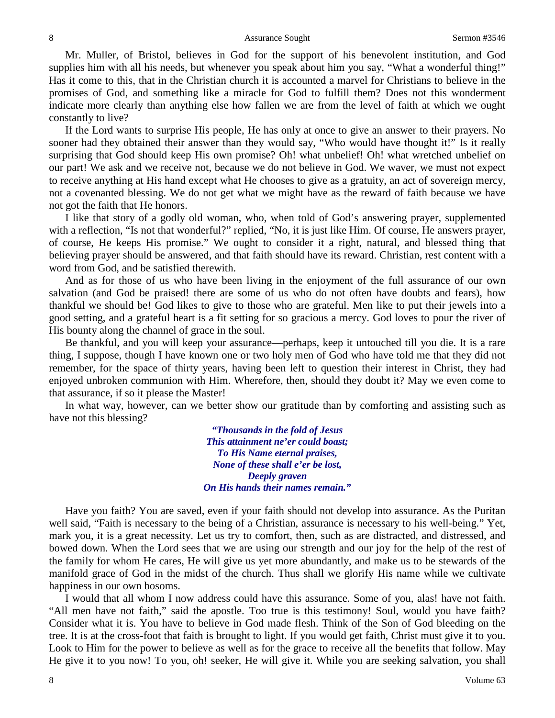Mr. Muller, of Bristol, believes in God for the support of his benevolent institution, and God supplies him with all his needs, but whenever you speak about him you say, "What a wonderful thing!" Has it come to this, that in the Christian church it is accounted a marvel for Christians to believe in the promises of God, and something like a miracle for God to fulfill them? Does not this wonderment indicate more clearly than anything else how fallen we are from the level of faith at which we ought constantly to live?

If the Lord wants to surprise His people, He has only at once to give an answer to their prayers. No sooner had they obtained their answer than they would say, "Who would have thought it!" Is it really surprising that God should keep His own promise? Oh! what unbelief! Oh! what wretched unbelief on our part! We ask and we receive not, because we do not believe in God. We waver, we must not expect to receive anything at His hand except what He chooses to give as a gratuity, an act of sovereign mercy, not a covenanted blessing. We do not get what we might have as the reward of faith because we have not got the faith that He honors.

I like that story of a godly old woman, who, when told of God's answering prayer, supplemented with a reflection, "Is not that wonderful?" replied, "No, it is just like Him. Of course, He answers prayer, of course, He keeps His promise." We ought to consider it a right, natural, and blessed thing that believing prayer should be answered, and that faith should have its reward. Christian, rest content with a word from God, and be satisfied therewith.

And as for those of us who have been living in the enjoyment of the full assurance of our own salvation (and God be praised! there are some of us who do not often have doubts and fears), how thankful we should be! God likes to give to those who are grateful. Men like to put their jewels into a good setting, and a grateful heart is a fit setting for so gracious a mercy. God loves to pour the river of His bounty along the channel of grace in the soul.

Be thankful, and you will keep your assurance—perhaps, keep it untouched till you die. It is a rare thing, I suppose, though I have known one or two holy men of God who have told me that they did not remember, for the space of thirty years, having been left to question their interest in Christ, they had enjoyed unbroken communion with Him. Wherefore, then, should they doubt it? May we even come to that assurance, if so it please the Master!

In what way, however, can we better show our gratitude than by comforting and assisting such as have not this blessing?

> *"Thousands in the fold of Jesus This attainment ne'er could boast; To His Name eternal praises, None of these shall e'er be lost, Deeply graven On His hands their names remain."*

Have you faith? You are saved, even if your faith should not develop into assurance. As the Puritan well said, "Faith is necessary to the being of a Christian, assurance is necessary to his well-being." Yet, mark you, it is a great necessity. Let us try to comfort, then, such as are distracted, and distressed, and bowed down. When the Lord sees that we are using our strength and our joy for the help of the rest of the family for whom He cares, He will give us yet more abundantly, and make us to be stewards of the manifold grace of God in the midst of the church. Thus shall we glorify His name while we cultivate happiness in our own bosoms.

I would that all whom I now address could have this assurance. Some of you, alas! have not faith. "All men have not faith," said the apostle. Too true is this testimony! Soul, would you have faith? Consider what it is. You have to believe in God made flesh. Think of the Son of God bleeding on the tree. It is at the cross-foot that faith is brought to light. If you would get faith, Christ must give it to you. Look to Him for the power to believe as well as for the grace to receive all the benefits that follow. May He give it to you now! To you, oh! seeker, He will give it. While you are seeking salvation, you shall